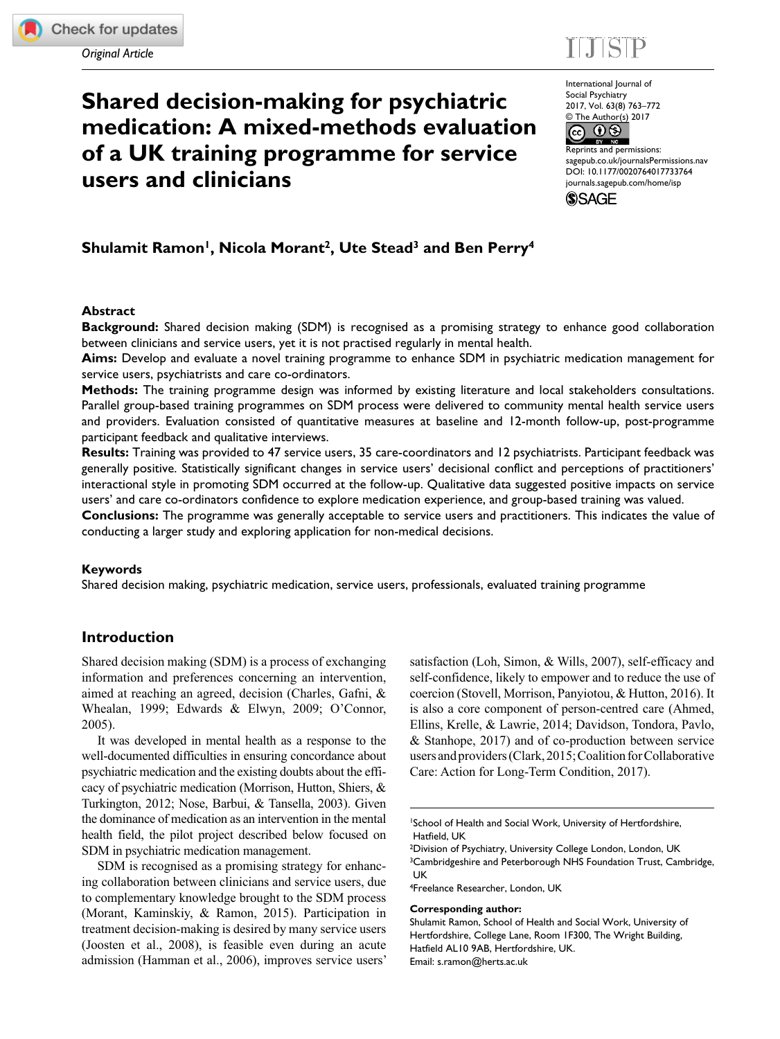*Original Article*

# $E = C \cdot \sim \infty$

# **Shared decision-making for psychiatric medication: A mixed-methods evaluation of a UK training programme for service users and clinicians**

International Journal of Social Psychiatry 2017, Vol. 63(8) 763–772



DOI: 10.1177/0020764017733764 Reprints and permissions: [sagepub.co.uk/journalsPermissions.nav](https://uk.sagepub.com/en-gb/journals-permissions) [journals.sagepub.com/home/isp](https://journals.sagepub.com/home/isp)



# Shulamit Ramon<sup>1</sup>, Nicola Morant<sup>2</sup>, Ute Stead<sup>3</sup> and Ben Perry<sup>4</sup>

#### **Abstract**

**Background:** Shared decision making (SDM) is recognised as a promising strategy to enhance good collaboration between clinicians and service users, yet it is not practised regularly in mental health.

**Aims:** Develop and evaluate a novel training programme to enhance SDM in psychiatric medication management for service users, psychiatrists and care co-ordinators.

**Methods:** The training programme design was informed by existing literature and local stakeholders consultations. Parallel group-based training programmes on SDM process were delivered to community mental health service users and providers. Evaluation consisted of quantitative measures at baseline and 12-month follow-up, post-programme participant feedback and qualitative interviews.

**Results:** Training was provided to 47 service users, 35 care-coordinators and 12 psychiatrists. Participant feedback was generally positive. Statistically significant changes in service users' decisional conflict and perceptions of practitioners' interactional style in promoting SDM occurred at the follow-up. Qualitative data suggested positive impacts on service users' and care co-ordinators confidence to explore medication experience, and group-based training was valued.

**Conclusions:** The programme was generally acceptable to service users and practitioners. This indicates the value of conducting a larger study and exploring application for non-medical decisions.

#### **Keywords**

Shared decision making, psychiatric medication, service users, professionals, evaluated training programme

## **Introduction**

Shared decision making (SDM) is a process of exchanging information and preferences concerning an intervention, aimed at reaching an agreed, decision (Charles, Gafni, & Whealan, 1999; Edwards & Elwyn, 2009; O'Connor, 2005).

It was developed in mental health as a response to the well-documented difficulties in ensuring concordance about psychiatric medication and the existing doubts about the efficacy of psychiatric medication (Morrison, Hutton, Shiers, & Turkington, 2012; Nose, Barbui, & Tansella, 2003). Given the dominance of medication as an intervention in the mental health field, the pilot project described below focused on SDM in psychiatric medication management.

SDM is recognised as a promising strategy for enhancing collaboration between clinicians and service users, due to complementary knowledge brought to the SDM process (Morant, Kaminskiy, & Ramon, 2015). Participation in treatment decision-making is desired by many service users (Joosten et al., 2008), is feasible even during an acute admission (Hamman et al., 2006), improves service users' satisfaction (Loh, Simon, & Wills, 2007), self-efficacy and self-confidence, likely to empower and to reduce the use of coercion (Stovell, Morrison, Panyiotou, & Hutton, 2016). It is also a core component of person-centred care (Ahmed, Ellins, Krelle, & Lawrie, 2014; Davidson, Tondora, Pavlo, & Stanhope, 2017) and of co-production between service users and providers (Clark, 2015; Coalition for Collaborative Care: Action for Long-Term Condition, 2017).

#### **Corresponding author:**

Shulamit Ramon, School of Health and Social Work, University of Hertfordshire, College Lane, Room 1F300, The Wright Building, Hatfield AL10 9AB, Hertfordshire, UK. Email: [s.ramon@herts.ac.uk](mailto:s.ramon@herts.ac.uk)

<sup>1</sup>School of Health and Social Work, University of Hertfordshire, Hatfield, UK

<sup>2</sup>Division of Psychiatry, University College London, London, UK <sup>3</sup>Cambridgeshire and Peterborough NHS Foundation Trust, Cambridge, UK

<sup>4</sup>Freelance Researcher, London, UK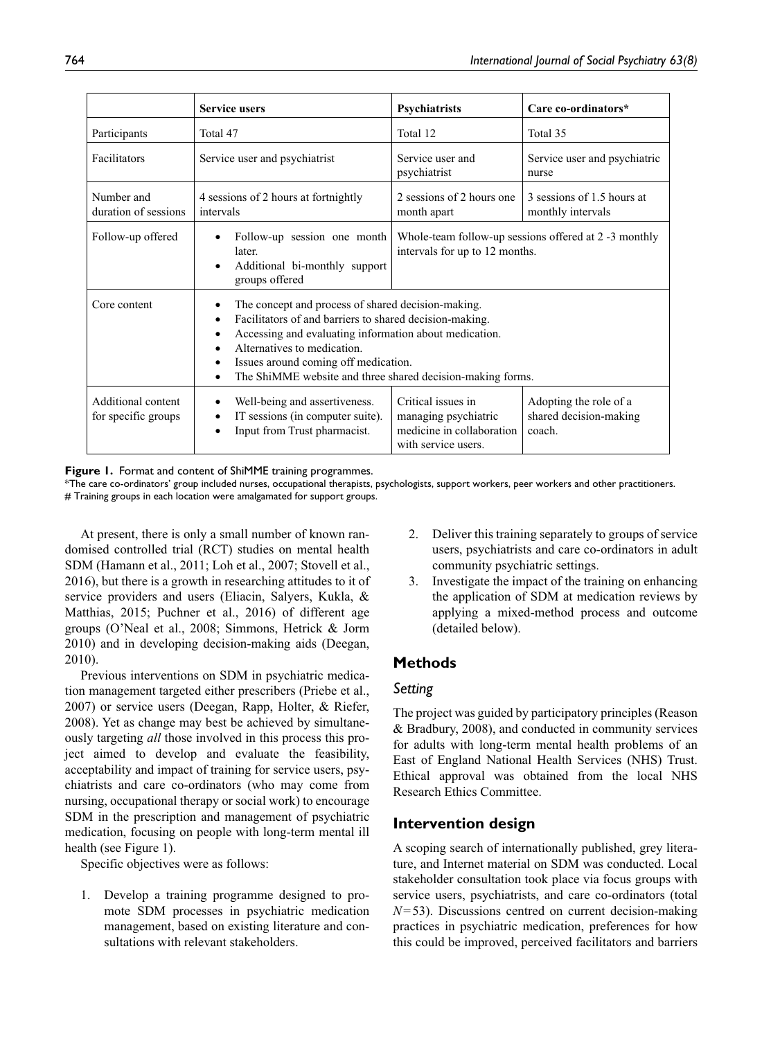|                                           | <b>Service users</b>                                                                                                                                                                                                                                                                                                        | Psychiatrists                                                                                  | Care co-ordinators*                                        |  |
|-------------------------------------------|-----------------------------------------------------------------------------------------------------------------------------------------------------------------------------------------------------------------------------------------------------------------------------------------------------------------------------|------------------------------------------------------------------------------------------------|------------------------------------------------------------|--|
| Participants                              | Total 47                                                                                                                                                                                                                                                                                                                    | Total 12                                                                                       | Total 35                                                   |  |
| Facilitators                              | Service user and psychiatrist                                                                                                                                                                                                                                                                                               | Service user and<br>psychiatrist                                                               | Service user and psychiatric<br>nurse                      |  |
| Number and<br>duration of sessions        | 4 sessions of 2 hours at fortnightly<br>intervals                                                                                                                                                                                                                                                                           | 3 sessions of 1.5 hours at<br>2 sessions of 2 hours one<br>monthly intervals<br>month apart    |                                                            |  |
| Follow-up offered                         | Follow-up session one month<br>later.<br>Additional bi-monthly support<br>groups offered                                                                                                                                                                                                                                    | Whole-team follow-up sessions offered at 2 -3 monthly<br>intervals for up to 12 months.        |                                                            |  |
| Core content                              | The concept and process of shared decision-making.<br>Facilitators of and barriers to shared decision-making.<br>٠<br>Accessing and evaluating information about medication.<br>Alternatives to medication.<br>Issues around coming off medication.<br>٠<br>The ShiMME website and three shared decision-making forms.<br>٠ |                                                                                                |                                                            |  |
| Additional content<br>for specific groups | Well-being and assertiveness.<br>٠<br>IT sessions (in computer suite).<br>٠<br>Input from Trust pharmacist.<br>٠                                                                                                                                                                                                            | Critical issues in<br>managing psychiatric<br>medicine in collaboration<br>with service users. | Adopting the role of a<br>shared decision-making<br>coach. |  |

**Figure 1.** Format and content of ShiMME training programmes.

\*The care co-ordinators' group included nurses, occupational therapists, psychologists, support workers, peer workers and other practitioners. # Training groups in each location were amalgamated for support groups.

At present, there is only a small number of known randomised controlled trial (RCT) studies on mental health SDM (Hamann et al., 2011; Loh et al., 2007; Stovell et al., 2016), but there is a growth in researching attitudes to it of service providers and users (Eliacin, Salyers, Kukla, & Matthias, 2015; Puchner et al., 2016) of different age groups (O'Neal et al., 2008; Simmons, Hetrick & Jorm 2010) and in developing decision-making aids (Deegan, 2010).

Previous interventions on SDM in psychiatric medication management targeted either prescribers (Priebe et al., 2007) or service users (Deegan, Rapp, Holter, & Riefer, 2008). Yet as change may best be achieved by simultaneously targeting *all* those involved in this process this project aimed to develop and evaluate the feasibility, acceptability and impact of training for service users, psychiatrists and care co-ordinators (who may come from nursing, occupational therapy or social work) to encourage SDM in the prescription and management of psychiatric medication, focusing on people with long-term mental ill health (see Figure 1).

Specific objectives were as follows:

1. Develop a training programme designed to promote SDM processes in psychiatric medication management, based on existing literature and consultations with relevant stakeholders.

- 2. Deliver this training separately to groups of service users, psychiatrists and care co-ordinators in adult community psychiatric settings.
- 3. Investigate the impact of the training on enhancing the application of SDM at medication reviews by applying a mixed-method process and outcome (detailed below).

# **Methods**

## *Setting*

The project was guided by participatory principles (Reason & Bradbury, 2008), and conducted in community services for adults with long-term mental health problems of an East of England National Health Services (NHS) Trust. Ethical approval was obtained from the local NHS Research Ethics Committee.

# **Intervention design**

A scoping search of internationally published, grey literature, and Internet material on SDM was conducted. Local stakeholder consultation took place via focus groups with service users, psychiatrists, and care co-ordinators (total *N*=53). Discussions centred on current decision-making practices in psychiatric medication, preferences for how this could be improved, perceived facilitators and barriers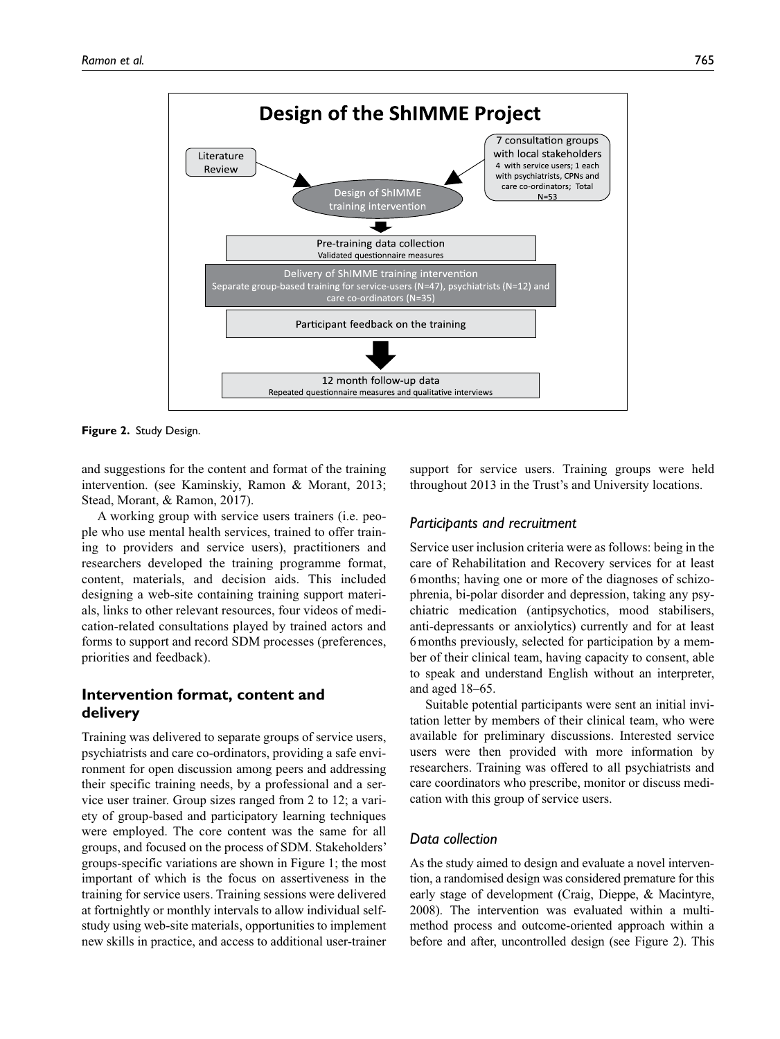

**Figure 2.** Study Design.

and suggestions for the content and format of the training intervention. (see Kaminskiy, Ramon & Morant, 2013; Stead, Morant, & Ramon, 2017).

A working group with service users trainers (i.e. people who use mental health services, trained to offer training to providers and service users), practitioners and researchers developed the training programme format, content, materials, and decision aids. This included designing a web-site containing training support materials, links to other relevant resources, four videos of medication-related consultations played by trained actors and forms to support and record SDM processes (preferences, priorities and feedback).

# **Intervention format, content and delivery**

Training was delivered to separate groups of service users, psychiatrists and care co-ordinators, providing a safe environment for open discussion among peers and addressing their specific training needs, by a professional and a service user trainer. Group sizes ranged from 2 to 12; a variety of group-based and participatory learning techniques were employed. The core content was the same for all groups, and focused on the process of SDM. Stakeholders' groups-specific variations are shown in Figure 1; the most important of which is the focus on assertiveness in the training for service users. Training sessions were delivered at fortnightly or monthly intervals to allow individual selfstudy using web-site materials, opportunities to implement new skills in practice, and access to additional user-trainer support for service users. Training groups were held throughout 2013 in the Trust's and University locations.

#### *Participants and recruitment*

Service user inclusion criteria were as follows: being in the care of Rehabilitation and Recovery services for at least 6months; having one or more of the diagnoses of schizophrenia, bi-polar disorder and depression, taking any psychiatric medication (antipsychotics, mood stabilisers, anti-depressants or anxiolytics) currently and for at least 6months previously, selected for participation by a member of their clinical team, having capacity to consent, able to speak and understand English without an interpreter, and aged 18–65.

Suitable potential participants were sent an initial invitation letter by members of their clinical team, who were available for preliminary discussions. Interested service users were then provided with more information by researchers. Training was offered to all psychiatrists and care coordinators who prescribe, monitor or discuss medication with this group of service users.

## *Data collection*

As the study aimed to design and evaluate a novel intervention, a randomised design was considered premature for this early stage of development (Craig, Dieppe, & Macintyre, 2008). The intervention was evaluated within a multimethod process and outcome-oriented approach within a before and after, uncontrolled design (see Figure 2). This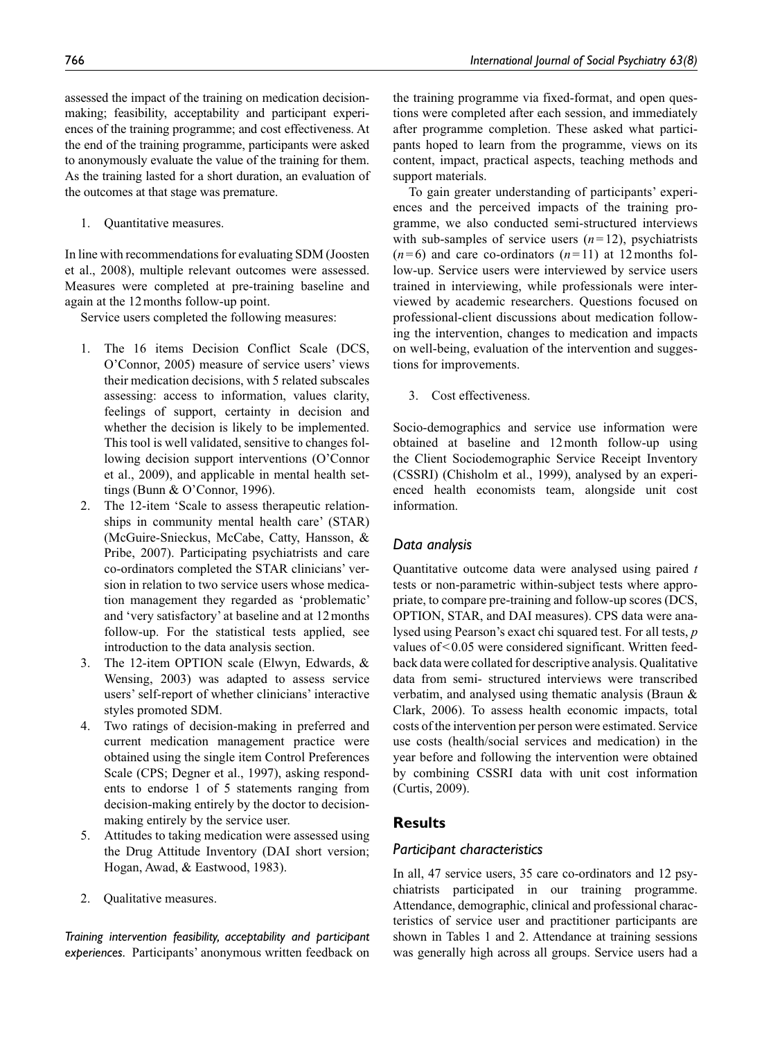assessed the impact of the training on medication decisionmaking; feasibility, acceptability and participant experiences of the training programme; and cost effectiveness. At the end of the training programme, participants were asked to anonymously evaluate the value of the training for them. As the training lasted for a short duration, an evaluation of the outcomes at that stage was premature.

1. Quantitative measures.

In line with recommendations for evaluating SDM (Joosten et al., 2008), multiple relevant outcomes were assessed. Measures were completed at pre-training baseline and again at the 12months follow-up point.

Service users completed the following measures:

- 1. The 16 items Decision Conflict Scale (DCS, O'Connor, 2005) measure of service users' views their medication decisions, with 5 related subscales assessing: access to information, values clarity, feelings of support, certainty in decision and whether the decision is likely to be implemented. This tool is well validated, sensitive to changes following decision support interventions (O'Connor et al., 2009), and applicable in mental health settings (Bunn & O'Connor, 1996).
- 2. The 12-item 'Scale to assess therapeutic relationships in community mental health care' (STAR) (McGuire-Snieckus, McCabe, Catty, Hansson, & Pribe, 2007). Participating psychiatrists and care co-ordinators completed the STAR clinicians' version in relation to two service users whose medication management they regarded as 'problematic' and 'very satisfactory' at baseline and at 12months follow-up. For the statistical tests applied, see introduction to the data analysis section.
- 3. The 12-item OPTION scale (Elwyn, Edwards, & Wensing, 2003) was adapted to assess service users' self-report of whether clinicians' interactive styles promoted SDM.
- 4. Two ratings of decision-making in preferred and current medication management practice were obtained using the single item Control Preferences Scale (CPS; Degner et al., 1997), asking respondents to endorse 1 of 5 statements ranging from decision-making entirely by the doctor to decisionmaking entirely by the service user.
- 5. Attitudes to taking medication were assessed using the Drug Attitude Inventory (DAI short version; Hogan, Awad, & Eastwood, 1983).
- 2. Qualitative measures.

*Training intervention feasibility, acceptability and participant experiences.* Participants' anonymous written feedback on

the training programme via fixed-format, and open questions were completed after each session, and immediately after programme completion. These asked what participants hoped to learn from the programme, views on its content, impact, practical aspects, teaching methods and support materials.

To gain greater understanding of participants' experiences and the perceived impacts of the training programme, we also conducted semi-structured interviews with sub-samples of service users  $(n=12)$ , psychiatrists  $(n=6)$  and care co-ordinators  $(n=11)$  at 12 months follow-up. Service users were interviewed by service users trained in interviewing, while professionals were interviewed by academic researchers. Questions focused on professional-client discussions about medication following the intervention, changes to medication and impacts on well-being, evaluation of the intervention and suggestions for improvements.

3. Cost effectiveness.

Socio-demographics and service use information were obtained at baseline and 12month follow-up using the Client Sociodemographic Service Receipt Inventory (CSSRI) (Chisholm et al., 1999), analysed by an experienced health economists team, alongside unit cost information.

## *Data analysis*

Quantitative outcome data were analysed using paired *t* tests or non-parametric within-subject tests where appropriate, to compare pre-training and follow-up scores (DCS, OPTION, STAR, and DAI measures). CPS data were analysed using Pearson's exact chi squared test. For all tests, *p* values of <0.05 were considered significant. Written feedback data were collated for descriptive analysis. Qualitative data from semi- structured interviews were transcribed verbatim, and analysed using thematic analysis (Braun & Clark, 2006). To assess health economic impacts, total costs of the intervention per person were estimated. Service use costs (health/social services and medication) in the year before and following the intervention were obtained by combining CSSRI data with unit cost information (Curtis, 2009).

## **Results**

## *Participant characteristics*

In all, 47 service users, 35 care co-ordinators and 12 psychiatrists participated in our training programme. Attendance, demographic, clinical and professional characteristics of service user and practitioner participants are shown in Tables 1 and 2. Attendance at training sessions was generally high across all groups. Service users had a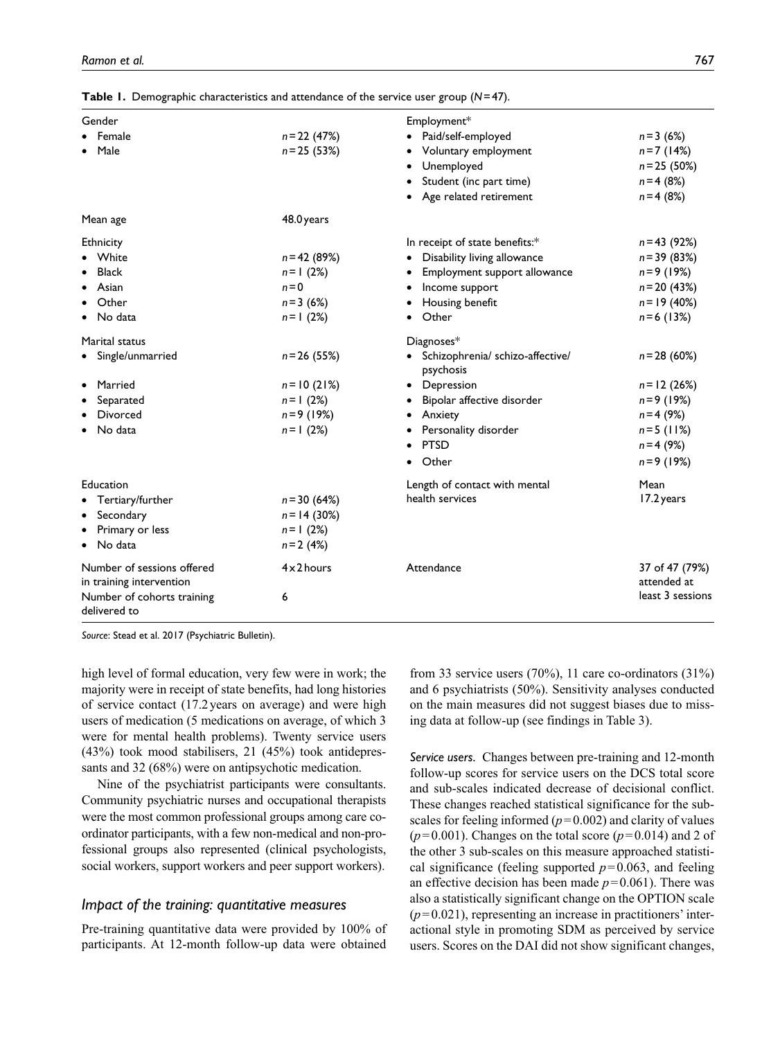| Gender                                                 |                    | Employment*                                     |                               |
|--------------------------------------------------------|--------------------|-------------------------------------------------|-------------------------------|
| Female                                                 | $n = 22(47%)$      | • Paid/self-employed                            | $n = 3(6%)$                   |
| Male<br>٠                                              | $n = 25(53%)$      | Voluntary employment                            | $n = 7(14%)$                  |
|                                                        |                    | Unemployed<br>$\bullet$                         | $n = 25(50\%)$                |
|                                                        |                    | Student (inc part time)                         | $n = 4$ (8%)                  |
|                                                        |                    | Age related retirement                          | $n = 4$ (8%)                  |
| Mean age                                               | 48.0 years         |                                                 |                               |
| <b>Ethnicity</b>                                       |                    | In receipt of state benefits:*                  | $n = 43(92%)$                 |
| White                                                  | $n = 42(89%)$      | • Disability living allowance                   | $n = 39(83%)$                 |
| <b>Black</b>                                           | $n = 1$ (2%)       | Employment support allowance                    | $n = 9(19%)$                  |
| Asian                                                  | $n = 0$            | Income support                                  | $n = 20$ (43%)                |
| Other                                                  | $n = 3(6%)$        | Housing benefit                                 | $n = 19(40%)$                 |
| No data                                                | $n = 1$ (2%)       | Other<br>$\bullet$                              | $n = 6(13%)$                  |
| Marital status                                         |                    | Diagnoses*                                      |                               |
| • Single/unmarried                                     | $n = 26(55%)$      | • Schizophrenia/ schizo-affective/<br>psychosis | $n = 28(60%)$                 |
| Married<br>٠                                           | $n = 10(21%)$      | • Depression                                    | $n = 12(26%)$                 |
| Separated                                              | $n = 1$ (2%)       | Bipolar affective disorder                      | $n = 9(19%)$                  |
| Divorced                                               | $n = 9(19%)$       | Anxiety                                         | $n = 4(9%)$                   |
| No data                                                | $n = 1$ (2%)       | Personality disorder                            | $n = 5$ (11%)                 |
|                                                        |                    | <b>PTSD</b>                                     | $n = 4(9%)$                   |
|                                                        |                    | Other<br>$\bullet$                              | $n = 9(19%)$                  |
| Education                                              |                    | Length of contact with mental                   | Mean                          |
| Tertiary/further<br>$\bullet$                          | $n = 30(64%)$      | health services                                 | 17.2 years                    |
| Secondary<br>٠                                         | $n = 14(30%)$      |                                                 |                               |
| Primary or less                                        | $n = 1$ (2%)       |                                                 |                               |
| No data<br>$\bullet$                                   | $n = 2$ (4%)       |                                                 |                               |
| Number of sessions offered<br>in training intervention | $4 \times 2$ hours | Attendance                                      | 37 of 47 (79%)<br>attended at |
| Number of cohorts training<br>delivered to             | 6                  |                                                 | least 3 sessions              |

|  |  | Table 1. Demographic characteristics and attendance of the service user group ( $N = 47$ ). |  |  |  |
|--|--|---------------------------------------------------------------------------------------------|--|--|--|
|--|--|---------------------------------------------------------------------------------------------|--|--|--|

*Source*: Stead et al. 2017 (Psychiatric Bulletin).

high level of formal education, very few were in work; the majority were in receipt of state benefits, had long histories of service contact (17.2years on average) and were high users of medication (5 medications on average, of which 3 were for mental health problems). Twenty service users (43%) took mood stabilisers, 21 (45%) took antidepressants and 32 (68%) were on antipsychotic medication.

Nine of the psychiatrist participants were consultants. Community psychiatric nurses and occupational therapists were the most common professional groups among care coordinator participants, with a few non-medical and non-professional groups also represented (clinical psychologists, social workers, support workers and peer support workers).

#### *Impact of the training: quantitative measures*

Pre-training quantitative data were provided by 100% of participants. At 12-month follow-up data were obtained

from 33 service users (70%), 11 care co-ordinators (31%) and 6 psychiatrists (50%). Sensitivity analyses conducted on the main measures did not suggest biases due to missing data at follow-up (see findings in Table 3).

*Service users.* Changes between pre-training and 12-month follow-up scores for service users on the DCS total score and sub-scales indicated decrease of decisional conflict. These changes reached statistical significance for the subscales for feeling informed  $(p=0.002)$  and clarity of values  $(p=0.001)$ . Changes on the total score  $(p=0.014)$  and 2 of the other 3 sub-scales on this measure approached statistical significance (feeling supported  $p=0.063$ , and feeling an effective decision has been made  $p=0.061$ ). There was also a statistically significant change on the OPTION scale  $(p=0.021)$ , representing an increase in practitioners' interactional style in promoting SDM as perceived by service users. Scores on the DAI did not show significant changes,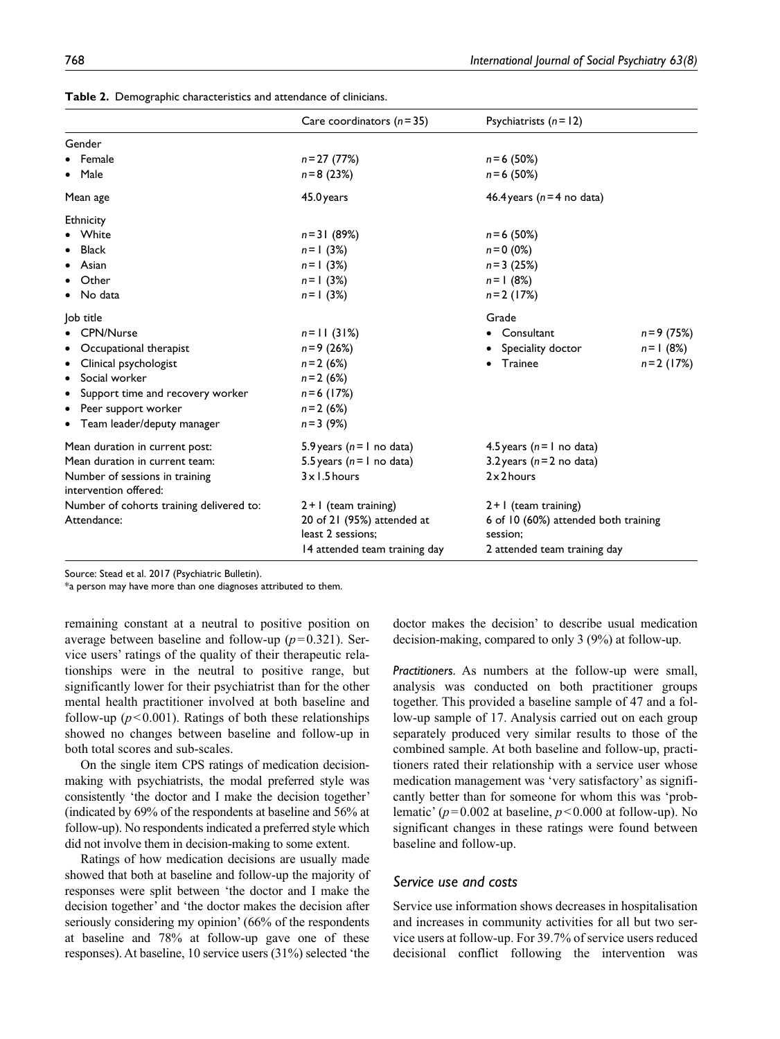|                                                         | Care coordinators $(n=35)$                      | Psychiatrists $(n = 12)$                         |              |
|---------------------------------------------------------|-------------------------------------------------|--------------------------------------------------|--------------|
| Gender                                                  |                                                 |                                                  |              |
| Female                                                  | $n = 27(77%)$                                   | $n = 6$ (50%)                                    |              |
| Male<br>$\bullet$                                       | $n = 8(23%)$                                    | $n = 6$ (50%)                                    |              |
| Mean age                                                | 45.0 years                                      | 46.4 years ( $n = 4$ no data)                    |              |
| <b>Ethnicity</b>                                        |                                                 |                                                  |              |
| White                                                   | $n = 31(89%)$                                   | $n = 6(50\%)$                                    |              |
| Black                                                   | $n = 1$ (3%)                                    | $n = 0$ (0%)                                     |              |
| Asian                                                   | $n = 1$ (3%)                                    | $n = 3(25%)$                                     |              |
| Other                                                   | $n = 1$ (3%)                                    | $n = 1$ (8%)                                     |              |
| No data<br>٠                                            | $n = 1$ (3%)                                    | $n = 2(17%)$                                     |              |
| Job title                                               |                                                 | Grade                                            |              |
| CPN/Nurse                                               | $n = 11(31%)$                                   | • Consultant                                     | $n = 9(75%)$ |
| Occupational therapist<br>٠                             | $n = 9(26%)$                                    | Speciality doctor                                | $n = 1$ (8%) |
| Clinical psychologist<br>٠                              | $n = 2(6%)$                                     | • Trainee                                        | $n = 2(17%)$ |
| Social worker<br>٠                                      | $n = 2(6%)$                                     |                                                  |              |
| Support time and recovery worker<br>٠                   | $n = 6$ (17%)                                   |                                                  |              |
| Peer support worker<br>٠                                | $n = 2(6%)$                                     |                                                  |              |
| • Team leader/deputy manager                            | $n = 3(9%)$                                     |                                                  |              |
| Mean duration in current post:                          | 5.9 years ( $n = 1$ no data)                    | 4.5 years ( $n = 1$ no data)                     |              |
| Mean duration in current team:                          | 5.5 years ( $n = 1$ no data)                    | 3.2 years ( $n = 2$ no data)                     |              |
| Number of sessions in training<br>intervention offered: | $3 \times 1.5$ hours                            | $2 \times 2$ hours                               |              |
| Number of cohorts training delivered to:                | $2+1$ (team training)                           | $2 + 1$ (team training)                          |              |
| Attendance:                                             | 20 of 21 (95%) attended at<br>least 2 sessions: | 6 of 10 (60%) attended both training<br>session: |              |
|                                                         | 14 attended team training day                   | 2 attended team training day                     |              |

**Table 2.** Demographic characteristics and attendance of clinicians.

Source: Stead et al. 2017 (Psychiatric Bulletin).

\*a person may have more than one diagnoses attributed to them.

remaining constant at a neutral to positive position on average between baseline and follow-up (*p*=0.321). Service users' ratings of the quality of their therapeutic relationships were in the neutral to positive range, but significantly lower for their psychiatrist than for the other mental health practitioner involved at both baseline and follow-up  $(p<0.001)$ . Ratings of both these relationships showed no changes between baseline and follow-up in both total scores and sub-scales.

On the single item CPS ratings of medication decisionmaking with psychiatrists, the modal preferred style was consistently 'the doctor and I make the decision together' (indicated by 69% of the respondents at baseline and 56% at follow-up). No respondents indicated a preferred style which did not involve them in decision-making to some extent.

Ratings of how medication decisions are usually made showed that both at baseline and follow-up the majority of responses were split between 'the doctor and I make the decision together' and 'the doctor makes the decision after seriously considering my opinion' (66% of the respondents at baseline and 78% at follow-up gave one of these responses). At baseline, 10 service users (31%) selected 'the

doctor makes the decision' to describe usual medication decision-making, compared to only 3 (9%) at follow-up.

*Practitioners.* As numbers at the follow-up were small, analysis was conducted on both practitioner groups together. This provided a baseline sample of 47 and a follow-up sample of 17. Analysis carried out on each group separately produced very similar results to those of the combined sample. At both baseline and follow-up, practitioners rated their relationship with a service user whose medication management was 'very satisfactory' as significantly better than for someone for whom this was 'problematic' ( $p=0.002$  at baseline,  $p<0.000$  at follow-up). No significant changes in these ratings were found between baseline and follow-up.

#### *Service use and costs*

Service use information shows decreases in hospitalisation and increases in community activities for all but two service users at follow-up. For 39.7% of service users reduced decisional conflict following the intervention was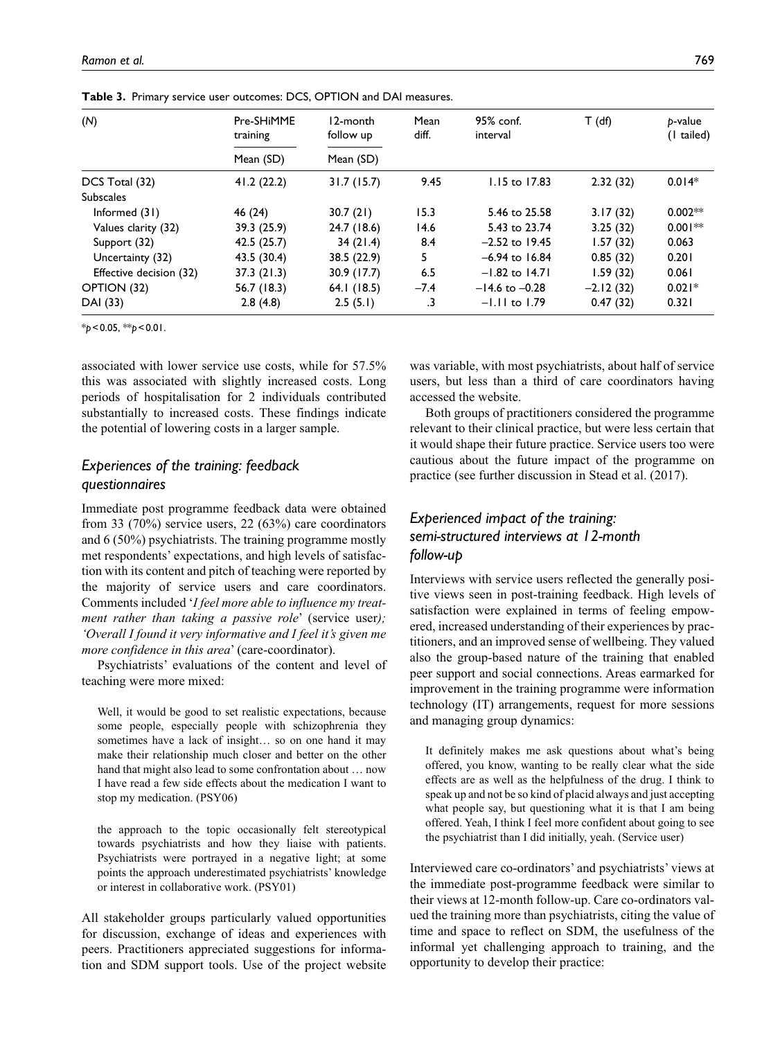| (N)                     | Pre-SHiMME<br>training | 12-month<br>follow up | Mean<br>diff. | 95% conf.<br>interval | T(df)       | b-value<br>(1 tailed) |
|-------------------------|------------------------|-----------------------|---------------|-----------------------|-------------|-----------------------|
|                         | Mean (SD)              | Mean (SD)             |               |                       |             |                       |
| DCS Total (32)          | 41.2(22.2)             | 31.7(15.7)            | 9.45          | $1.15$ to 17.83       | 2.32(32)    | $0.014*$              |
| <b>Subscales</b>        |                        |                       |               |                       |             |                       |
| Informed $(31)$         | 46 (24)                | 30.7(21)              | 15.3          | 5.46 to 25.58         | 3.17(32)    | $0.002**$             |
| Values clarity (32)     | 39.3 (25.9)            | 24.7 (18.6)           | 14.6          | 5.43 to 23.74         | 3.25(32)    | $0.001**$             |
| Support (32)            | 42.5 (25.7)            | 34(21.4)              | 8.4           | $-2.52$ to 19.45      | 1.57(32)    | 0.063                 |
| Uncertainty (32)        | 43.5 (30.4)            | 38.5 (22.9)           | 5             | $-6.94$ to 16.84      | 0.85(32)    | 0.201                 |
| Effective decision (32) | 37.3(21.3)             | 30.9(17.7)            | 6.5           | $-1.82$ to $14.71$    | 1.59(32)    | 0.061                 |
| OPTION (32)             | 56.7 (18.3)            | 64.1 (18.5)           | $-7.4$        | $-14.6$ to $-0.28$    | $-2.12(32)$ | $0.021*$              |
| DAI (33)                | 2.8(4.8)               | 2.5(5.1)              | .3            | $-1.11$ to 1.79       | 0.47(32)    | 0.321                 |

**Table 3.** Primary service user outcomes: DCS, OPTION and DAI measures.

\**p*<0.05, \*\**p*<0.01.

associated with lower service use costs, while for 57.5% this was associated with slightly increased costs. Long periods of hospitalisation for 2 individuals contributed substantially to increased costs. These findings indicate the potential of lowering costs in a larger sample.

# *Experiences of the training: feedback questionnaires*

Immediate post programme feedback data were obtained from 33 (70%) service users, 22 (63%) care coordinators and 6 (50%) psychiatrists. The training programme mostly met respondents' expectations, and high levels of satisfaction with its content and pitch of teaching were reported by the majority of service users and care coordinators. Comments included '*I feel more able to influence my treatment rather than taking a passive role*' (service user*); 'Overall I found it very informative and I feel it's given me more confidence in this area*' (care-coordinator).

Psychiatrists' evaluations of the content and level of teaching were more mixed:

Well, it would be good to set realistic expectations, because some people, especially people with schizophrenia they sometimes have a lack of insight... so on one hand it may make their relationship much closer and better on the other hand that might also lead to some confrontation about ... now I have read a few side effects about the medication I want to stop my medication. (PSY06)

the approach to the topic occasionally felt stereotypical towards psychiatrists and how they liaise with patients. Psychiatrists were portrayed in a negative light; at some points the approach underestimated psychiatrists' knowledge or interest in collaborative work. (PSY01)

All stakeholder groups particularly valued opportunities for discussion, exchange of ideas and experiences with peers. Practitioners appreciated suggestions for information and SDM support tools. Use of the project website

was variable, with most psychiatrists, about half of service users, but less than a third of care coordinators having accessed the website.

Both groups of practitioners considered the programme relevant to their clinical practice, but were less certain that it would shape their future practice. Service users too were cautious about the future impact of the programme on practice (see further discussion in Stead et al. (2017).

# *Experienced impact of the training: semi-structured interviews at 12-month follow-up*

Interviews with service users reflected the generally positive views seen in post-training feedback. High levels of satisfaction were explained in terms of feeling empowered, increased understanding of their experiences by practitioners, and an improved sense of wellbeing. They valued also the group-based nature of the training that enabled peer support and social connections. Areas earmarked for improvement in the training programme were information technology (IT) arrangements, request for more sessions and managing group dynamics:

It definitely makes me ask questions about what's being offered, you know, wanting to be really clear what the side effects are as well as the helpfulness of the drug. I think to speak up and not be so kind of placid always and just accepting what people say, but questioning what it is that I am being offered. Yeah, I think I feel more confident about going to see the psychiatrist than I did initially, yeah. (Service user)

Interviewed care co-ordinators' and psychiatrists' views at the immediate post-programme feedback were similar to their views at 12-month follow-up. Care co-ordinators valued the training more than psychiatrists, citing the value of time and space to reflect on SDM, the usefulness of the informal yet challenging approach to training, and the opportunity to develop their practice: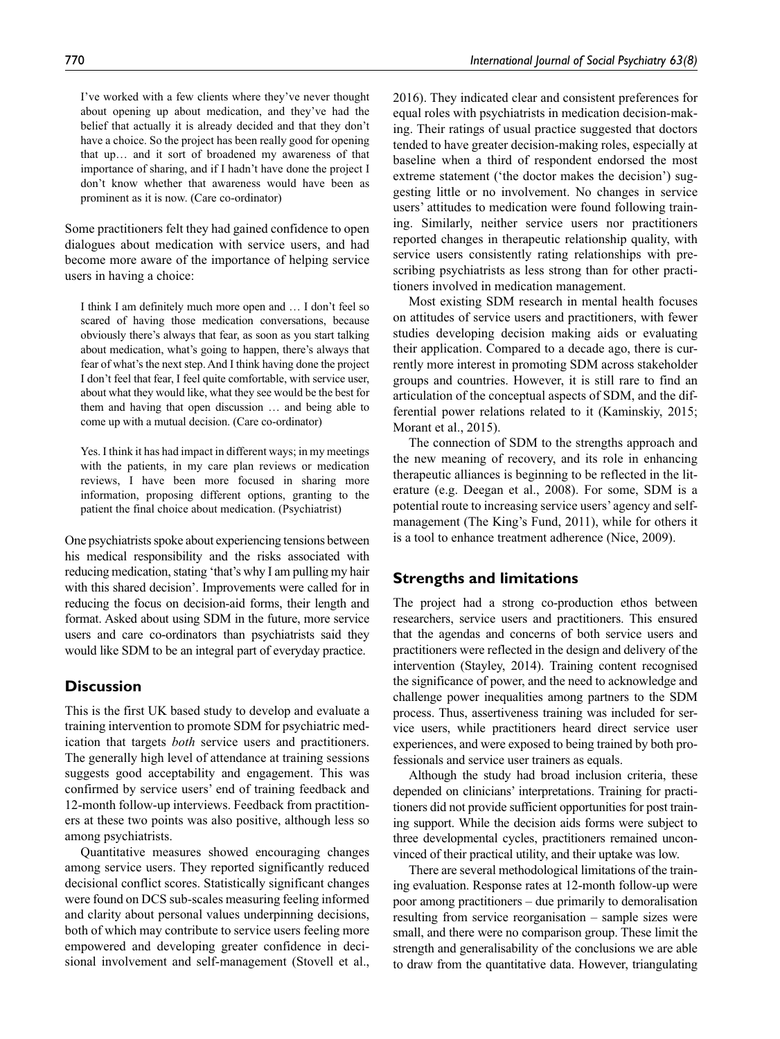I've worked with a few clients where they've never thought about opening up about medication, and they've had the belief that actually it is already decided and that they don't have a choice. So the project has been really good for opening that up… and it sort of broadened my awareness of that importance of sharing, and if I hadn't have done the project I don't know whether that awareness would have been as prominent as it is now. (Care co-ordinator)

Some practitioners felt they had gained confidence to open dialogues about medication with service users, and had become more aware of the importance of helping service users in having a choice:

I think I am definitely much more open and … I don't feel so scared of having those medication conversations, because obviously there's always that fear, as soon as you start talking about medication, what's going to happen, there's always that fear of what's the next step. And I think having done the project I don't feel that fear, I feel quite comfortable, with service user, about what they would like, what they see would be the best for them and having that open discussion … and being able to come up with a mutual decision. (Care co-ordinator)

Yes. I think it has had impact in different ways; in my meetings with the patients, in my care plan reviews or medication reviews, I have been more focused in sharing more information, proposing different options, granting to the patient the final choice about medication. (Psychiatrist)

One psychiatrists spoke about experiencing tensions between his medical responsibility and the risks associated with reducing medication, stating 'that's why I am pulling my hair with this shared decision'. Improvements were called for in reducing the focus on decision-aid forms, their length and format. Asked about using SDM in the future, more service users and care co-ordinators than psychiatrists said they would like SDM to be an integral part of everyday practice.

## **Discussion**

This is the first UK based study to develop and evaluate a training intervention to promote SDM for psychiatric medication that targets *both* service users and practitioners. The generally high level of attendance at training sessions suggests good acceptability and engagement. This was confirmed by service users' end of training feedback and 12-month follow-up interviews. Feedback from practitioners at these two points was also positive, although less so among psychiatrists.

Quantitative measures showed encouraging changes among service users. They reported significantly reduced decisional conflict scores. Statistically significant changes were found on DCS sub-scales measuring feeling informed and clarity about personal values underpinning decisions, both of which may contribute to service users feeling more empowered and developing greater confidence in decisional involvement and self-management (Stovell et al.,

2016). They indicated clear and consistent preferences for equal roles with psychiatrists in medication decision-making. Their ratings of usual practice suggested that doctors tended to have greater decision-making roles, especially at baseline when a third of respondent endorsed the most extreme statement ('the doctor makes the decision') suggesting little or no involvement. No changes in service users' attitudes to medication were found following training. Similarly, neither service users nor practitioners reported changes in therapeutic relationship quality, with service users consistently rating relationships with prescribing psychiatrists as less strong than for other practitioners involved in medication management.

Most existing SDM research in mental health focuses on attitudes of service users and practitioners, with fewer studies developing decision making aids or evaluating their application. Compared to a decade ago, there is currently more interest in promoting SDM across stakeholder groups and countries. However, it is still rare to find an articulation of the conceptual aspects of SDM, and the differential power relations related to it (Kaminskiy, 2015; Morant et al., 2015).

The connection of SDM to the strengths approach and the new meaning of recovery, and its role in enhancing therapeutic alliances is beginning to be reflected in the literature (e.g. Deegan et al., 2008). For some, SDM is a potential route to increasing service users' agency and selfmanagement (The King's Fund, 2011), while for others it is a tool to enhance treatment adherence (Nice, 2009).

#### **Strengths and limitations**

The project had a strong co-production ethos between researchers, service users and practitioners. This ensured that the agendas and concerns of both service users and practitioners were reflected in the design and delivery of the intervention (Stayley, 2014). Training content recognised the significance of power, and the need to acknowledge and challenge power inequalities among partners to the SDM process. Thus, assertiveness training was included for service users, while practitioners heard direct service user experiences, and were exposed to being trained by both professionals and service user trainers as equals.

Although the study had broad inclusion criteria, these depended on clinicians' interpretations. Training for practitioners did not provide sufficient opportunities for post training support. While the decision aids forms were subject to three developmental cycles, practitioners remained unconvinced of their practical utility, and their uptake was low.

There are several methodological limitations of the training evaluation. Response rates at 12-month follow-up were poor among practitioners – due primarily to demoralisation resulting from service reorganisation – sample sizes were small, and there were no comparison group. These limit the strength and generalisability of the conclusions we are able to draw from the quantitative data. However, triangulating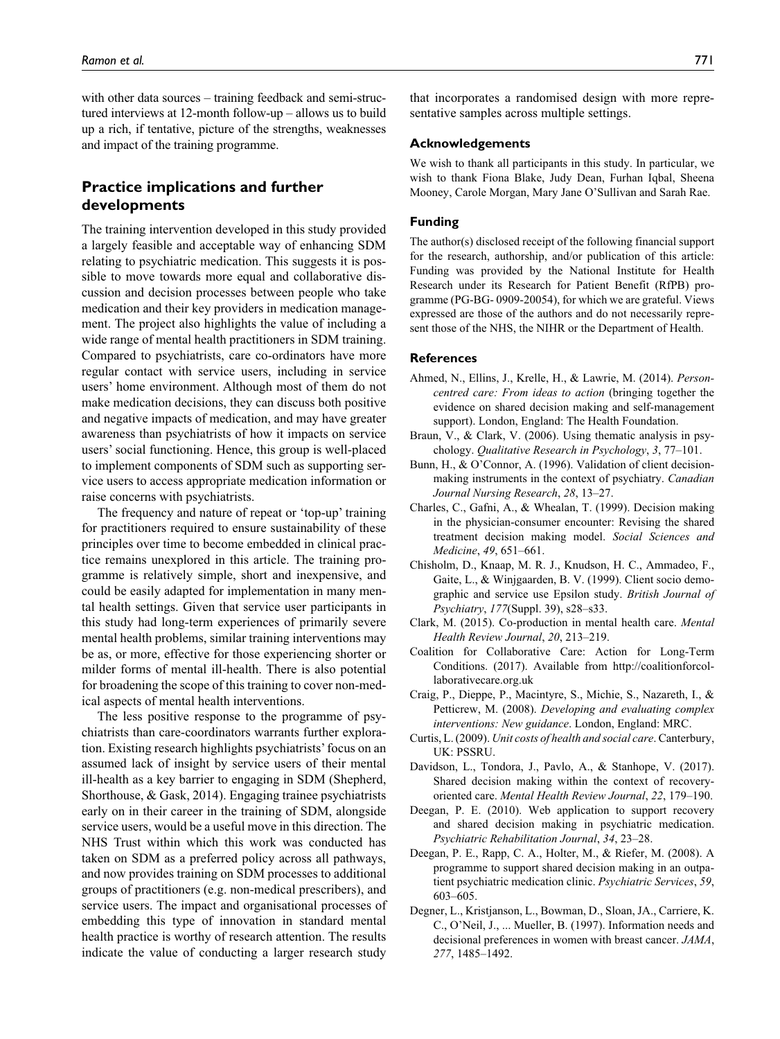with other data sources – training feedback and semi-structured interviews at 12-month follow-up – allows us to build up a rich, if tentative, picture of the strengths, weaknesses and impact of the training programme.

# **Practice implications and further developments**

The training intervention developed in this study provided a largely feasible and acceptable way of enhancing SDM relating to psychiatric medication. This suggests it is possible to move towards more equal and collaborative discussion and decision processes between people who take medication and their key providers in medication management. The project also highlights the value of including a wide range of mental health practitioners in SDM training. Compared to psychiatrists, care co-ordinators have more regular contact with service users, including in service users' home environment. Although most of them do not make medication decisions, they can discuss both positive and negative impacts of medication, and may have greater awareness than psychiatrists of how it impacts on service users' social functioning. Hence, this group is well-placed to implement components of SDM such as supporting service users to access appropriate medication information or raise concerns with psychiatrists.

The frequency and nature of repeat or 'top-up' training for practitioners required to ensure sustainability of these principles over time to become embedded in clinical practice remains unexplored in this article. The training programme is relatively simple, short and inexpensive, and could be easily adapted for implementation in many mental health settings. Given that service user participants in this study had long-term experiences of primarily severe mental health problems, similar training interventions may be as, or more, effective for those experiencing shorter or milder forms of mental ill-health. There is also potential for broadening the scope of this training to cover non-medical aspects of mental health interventions.

The less positive response to the programme of psychiatrists than care-coordinators warrants further exploration. Existing research highlights psychiatrists' focus on an assumed lack of insight by service users of their mental ill-health as a key barrier to engaging in SDM (Shepherd, Shorthouse, & Gask, 2014). Engaging trainee psychiatrists early on in their career in the training of SDM, alongside service users, would be a useful move in this direction. The NHS Trust within which this work was conducted has taken on SDM as a preferred policy across all pathways, and now provides training on SDM processes to additional groups of practitioners (e.g. non-medical prescribers), and service users. The impact and organisational processes of embedding this type of innovation in standard mental health practice is worthy of research attention. The results indicate the value of conducting a larger research study

that incorporates a randomised design with more representative samples across multiple settings.

#### **Acknowledgements**

We wish to thank all participants in this study. In particular, we wish to thank Fiona Blake, Judy Dean, Furhan Iqbal, Sheena Mooney, Carole Morgan, Mary Jane O'Sullivan and Sarah Rae.

#### **Funding**

The author(s) disclosed receipt of the following financial support for the research, authorship, and/or publication of this article: Funding was provided by the National Institute for Health Research under its Research for Patient Benefit (RfPB) programme (PG-BG- 0909-20054), for which we are grateful. Views expressed are those of the authors and do not necessarily represent those of the NHS, the NIHR or the Department of Health.

#### **References**

- Ahmed, N., Ellins, J., Krelle, H., & Lawrie, M. (2014). *Personcentred care: From ideas to action* (bringing together the evidence on shared decision making and self-management support). London, England: The Health Foundation.
- Braun, V., & Clark, V. (2006). Using thematic analysis in psychology. *Qualitative Research in Psychology*, *3*, 77–101.
- Bunn, H., & O'Connor, A. (1996). Validation of client decisionmaking instruments in the context of psychiatry. *Canadian Journal Nursing Research*, *28*, 13–27.
- Charles, C., Gafni, A., & Whealan, T. (1999). Decision making in the physician-consumer encounter: Revising the shared treatment decision making model. *Social Sciences and Medicine*, *49*, 651–661.
- Chisholm, D., Knaap, M. R. J., Knudson, H. C., Ammadeo, F., Gaite, L., & Winjgaarden, B. V. (1999). Client socio demographic and service use Epsilon study. *British Journal of Psychiatry*, *177*(Suppl. 39), s28–s33.
- Clark, M. (2015). Co-production in mental health care. *Mental Health Review Journal*, *20*, 213–219.
- Coalition for Collaborative Care: Action for Long-Term Conditions. (2017). Available from [http://coalitionforcol](http://coalitionforcollaborativecare.org.uk)[laborativecare.org.uk](http://coalitionforcollaborativecare.org.uk)
- Craig, P., Dieppe, P., Macintyre, S., Michie, S., Nazareth, I., & Petticrew, M. (2008). *Developing and evaluating complex interventions: New guidance*. London, England: MRC.
- Curtis, L. (2009). *Unit costs of health and social care*. Canterbury, UK: PSSRU.
- Davidson, L., Tondora, J., Pavlo, A., & Stanhope, V. (2017). Shared decision making within the context of recoveryoriented care. *Mental Health Review Journal*, *22*, 179–190.
- Deegan, P. E. (2010). Web application to support recovery and shared decision making in psychiatric medication. *Psychiatric Rehabilitation Journal*, *34*, 23–28.
- Deegan, P. E., Rapp, C. A., Holter, M., & Riefer, M. (2008). A programme to support shared decision making in an outpatient psychiatric medication clinic. *Psychiatric Services*, *59*, 603–605.
- Degner, L., Kristjanson, L., Bowman, D., Sloan, JA., Carriere, K. C., O'Neil, J., ... Mueller, B. (1997). Information needs and decisional preferences in women with breast cancer. *JAMA*, *277*, 1485–1492.